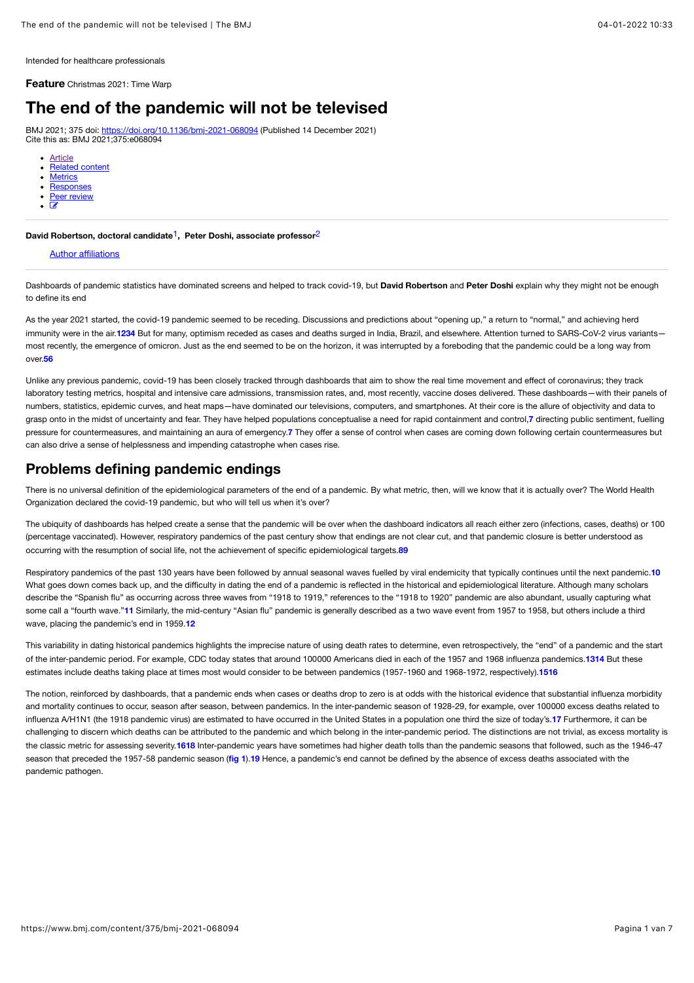Intended for healthcare professionals

**Feature** Christmas 2021: Time Warp

# **The end of the pandemic will not be televised**

BMJ 2021; 375 doi:<https://doi.org/10.1136/bmj-2021-068094> (Published 14 December 2021) Cite this as: BMJ 2021;375:e068094

- [Article](https://www.bmj.com/content/375/bmj-2021-068094)
- [Related content](https://www.bmj.com/content/375/bmj-2021-068094/related) **[Metrics](https://www.bmj.com/content/375/bmj-2021-068094/article-info)**
- **[Responses](https://www.bmj.com/content/375/bmj-2021-068094/rapid-responses)**
- [Peer review](https://www.bmj.com/content/375/bmj-2021-068094/peer-review)
- $\overline{a}$

**David Robertson, doctoral candidate**1**, Peter Doshi, associate professor**2

### [Author a](https://www.bmj.com/content/375/bmj-2021-068094%23)ffiliations

Dashboards of pandemic statistics have dominated screens and helped to track covid-19, but **David Robertson** and **Peter Doshi** explain why they might not be enough to define its end

<span id="page-0-3"></span><span id="page-0-2"></span><span id="page-0-1"></span><span id="page-0-0"></span>As the year 2021 started, the covid-19 pandemic seemed to be receding. Discussions and predictions about "opening up," a return to "normal," and achieving herd immunity were in the air.**[1](#page-2-0)[2](#page-2-1)[3](#page-2-2)[4](#page-2-3)** But for many, optimism receded as cases and deaths surged in India, Brazil, and elsewhere. Attention turned to SARS-CoV-2 virus variants most recently, the emergence of omicron. Just as the end seemed to be on the horizon, it was interrupted by a foreboding that the pandemic could be a long way from over.**[5](#page-2-4)[6](#page-2-5)**

<span id="page-0-6"></span><span id="page-0-5"></span><span id="page-0-4"></span>Unlike any previous pandemic, covid-19 has been closely tracked through dashboards that aim to show the real time movement and effect of coronavirus; they track laboratory testing metrics, hospital and intensive care admissions, transmission rates, and, most recently, vaccine doses delivered. These dashboards—with their panels of numbers, statistics, epidemic curves, and heat maps—have dominated our televisions, computers, and smartphones. At their core is the allure of objectivity and data to grasp onto in the midst of uncertainty and fear. They have helped populations conceptualise a need for rapid containment and control,**[7](#page-2-6)** directing public sentiment, fuelling pressure for countermeasures, and maintaining an aura of emergency.**[7](#page-2-6)** They offer a sense of control when cases are coming down following certain countermeasures but can also drive a sense of helplessness and impending catastrophe when cases rise.

## **Problems defining pandemic endings**

There is no universal definition of the epidemiological parameters of the end of a pandemic. By what metric, then, will we know that it is actually over? The World Health Organization declared the covid-19 pandemic, but who will tell us when it's over?

The ubiquity of dashboards has helped create a sense that the pandemic will be over when the dashboard indicators all reach either zero (infections, cases, deaths) or 100 (percentage vaccinated). However, respiratory pandemics of the past century show that endings are not clear cut, and that pandemic closure is better understood as occurring with the resumption of social life, not the achievement of specific epidemiological targets.**[8](#page-2-7)[9](#page-2-8)**

<span id="page-0-9"></span><span id="page-0-8"></span><span id="page-0-7"></span>Respiratory pandemics of the past 130 years have been followed by annual seasonal waves fuelled by viral endemicity that typically continues until the next pandemic.**[10](#page-2-9)** What goes down comes back up, and the difficulty in dating the end of a pandemic is reflected in the historical and epidemiological literature. Although many scholars describe the "Spanish flu" as occurring across three waves from "1918 to 1919," references to the "1918 to 1920" pandemic are also abundant, usually capturing what some call a "fourth wave."[11](#page-3-0) Similarly, the mid-century "Asian flu" pandemic is generally described as a two wave event from 1957 to 1958, but others include a third wave, placing the pandemic's end in 1959.**[12](#page-3-1)**

<span id="page-0-13"></span><span id="page-0-12"></span><span id="page-0-11"></span><span id="page-0-10"></span>This variability in dating historical pandemics highlights the imprecise nature of using death rates to determine, even retrospectively, the "end" of a pandemic and the start of the inter-pandemic period. For example, CDC today states that around 100000 Americans died in each of the 1957 and 1968 influenza pandemics.**[13](#page-3-2)[14](#page-3-3)** But these estimates include deaths taking place at times most would consider to be between pandemics (1957-1960 and 1968-1972, respectively).**[15](#page-3-4)[16](#page-3-5)**

<span id="page-0-18"></span><span id="page-0-17"></span><span id="page-0-16"></span><span id="page-0-15"></span><span id="page-0-14"></span>The notion, reinforced by dashboards, that a pandemic ends when cases or deaths drop to zero is at odds with the historical evidence that substantial influenza morbidity and mortality continues to occur, season after season, between pandemics. In the inter-pandemic season of 1928-29, for example, over 100000 excess deaths related to influenza A/H1N1 (the 1918 pandemic virus) are estimated to have occurred in the United States in a population one third the size of today's.**[17](#page-3-6)** Furthermore, it can be challenging to discern which deaths can be attributed to the pandemic and which belong in the inter-pandemic period. The distinctions are not trivial, as excess mortality is the classic metric for assessing severity.**[16](#page-3-5)[18](#page-3-7)** Inter-pandemic years have sometimes had higher death tolls than the pandemic seasons that followed, such as the 1946-47 season that preceded the 1957-58 pandemic season (**[fig 1](#page-1-0)**).**[19](#page-3-8)** Hence, a pandemic's end cannot be defined by the absence of excess deaths associated with the pandemic pathogen.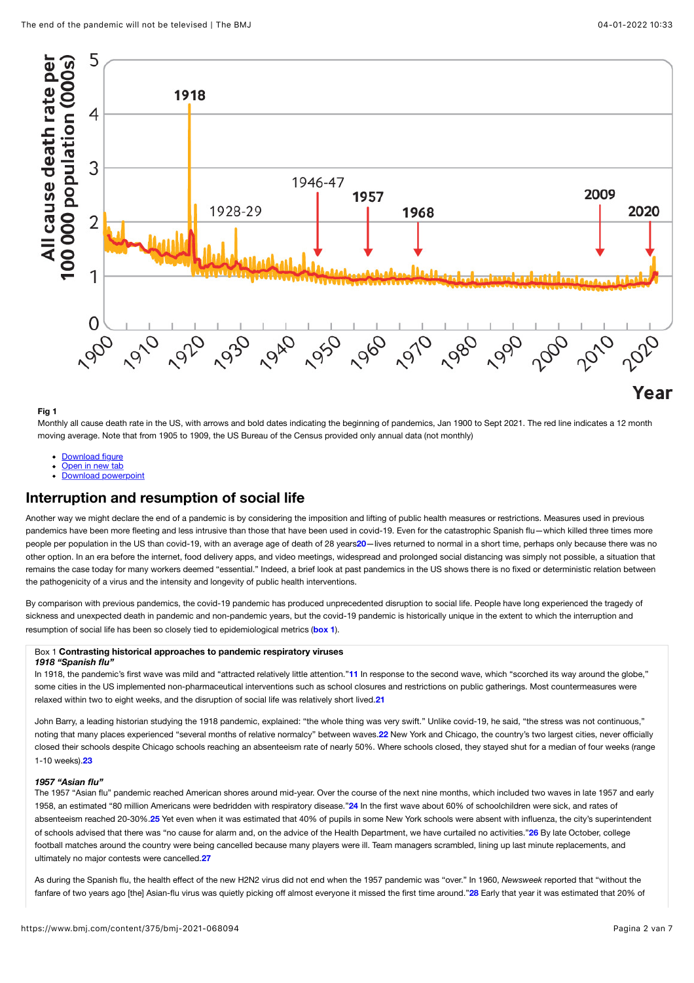<span id="page-1-0"></span>

### **Fig 1**

Monthly all cause death rate in the US, with arrows and bold dates indicating the beginning of pandemics, Jan 1900 to Sept 2021. The red line indicates a 12 month moving average. Note that from 1905 to 1909, the US Bureau of the Census provided only annual data (not monthly)

- [Download figure](https://www.bmj.com/content/bmj/375/bmj-2021-068094/F1.large.jpg?download=true)
- [Open in new tab](https://www.bmj.com/content/bmj/375/bmj-2021-068094/F1.large.jpg)
- <span id="page-1-3"></span>[Download powerpoint](https://www.bmj.com/highwire/powerpoint/1060641)

## **Interruption and resumption of social life**

Another way we might declare the end of a pandemic is by considering the imposition and lifting of public health measures or restrictions. Measures used in previous pandemics have been more fleeting and less intrusive than those that have been used in covid-19. Even for the catastrophic Spanish flu-which killed three times more people per population in the US than covid-19, with an average age of death of 28 years**[20](#page-3-9)**—lives returned to normal in a short time, perhaps only because there was no other option. In an era before the internet, food delivery apps, and video meetings, widespread and prolonged social distancing was simply not possible, a situation that remains the case today for many workers deemed "essential." Indeed, a brief look at past pandemics in the US shows there is no fixed or deterministic relation between the pathogenicity of a virus and the intensity and longevity of public health interventions.

By comparison with previous pandemics, the covid-19 pandemic has produced unprecedented disruption to social life. People have long experienced the tragedy of sickness and unexpected death in pandemic and non-pandemic years, but the covid-19 pandemic is historically unique in the extent to which the interruption and resumption of social life has been so closely tied to epidemiological metrics (**[box 1](#page-1-1)**).

#### <span id="page-1-2"></span><span id="page-1-1"></span>Box 1 **Contrasting historical approaches to pandemic respiratory viruses** *1918 "Spanish flu"*

In 1918, the pandemic's first wave was mild and "attracted relatively little attention."**[11](#page-3-0)** In response to the second wave, which "scorched its way around the globe," some cities in the US implemented non-pharmaceutical interventions such as school closures and restrictions on public gatherings. Most countermeasures were relaxed within two to eight weeks, and the disruption of social life was relatively short lived.**[21](#page-3-10)**

<span id="page-1-5"></span><span id="page-1-4"></span>John Barry, a leading historian studying the 1918 pandemic, explained: "the whole thing was very swift." Unlike covid-19, he said, "the stress was not continuous," noting that many places experienced "several months of relative normalcy" between waves.**[22](#page-3-11)** New York and Chicago, the country's two largest cities, never officially closed their schools despite Chicago schools reaching an absenteeism rate of nearly 50%. Where schools closed, they stayed shut for a median of four weeks (range 1-10 weeks).**[23](#page-3-12)**

#### <span id="page-1-7"></span><span id="page-1-6"></span>*1957 "Asian flu"*

<span id="page-1-9"></span><span id="page-1-8"></span>The 1957 "Asian flu" pandemic reached American shores around mid-year. Over the course of the next nine months, which included two waves in late 1957 and early 1958, an estimated "80 million Americans were bedridden with respiratory disease."**[24](#page-3-13)** In the first wave about 60% of schoolchildren were sick, and rates of absenteeism reached 20-30%.**[25](#page-3-14)** Yet even when it was estimated that 40% of pupils in some New York schools were absent with influenza, the city's superintendent of schools advised that there was "no cause for alarm and, on the advice of the Health Department, we have curtailed no activities."**[26](#page-3-15)** By late October, college football matches around the country were being cancelled because many players were ill. Team managers scrambled, lining up last minute replacements, and ultimately no major contests were cancelled.**[27](#page-3-16)**

<span id="page-1-11"></span><span id="page-1-10"></span>As during the Spanish flu, the health effect of the new H2N2 virus did not end when the 1957 pandemic was "over." In 1960, *Newsweek* reported that "without the fanfare of two years ago [the] Asian-flu virus was quietly picking off almost everyone it missed the first time around."**[28](#page-3-17)** Early that year it was estimated that 20% of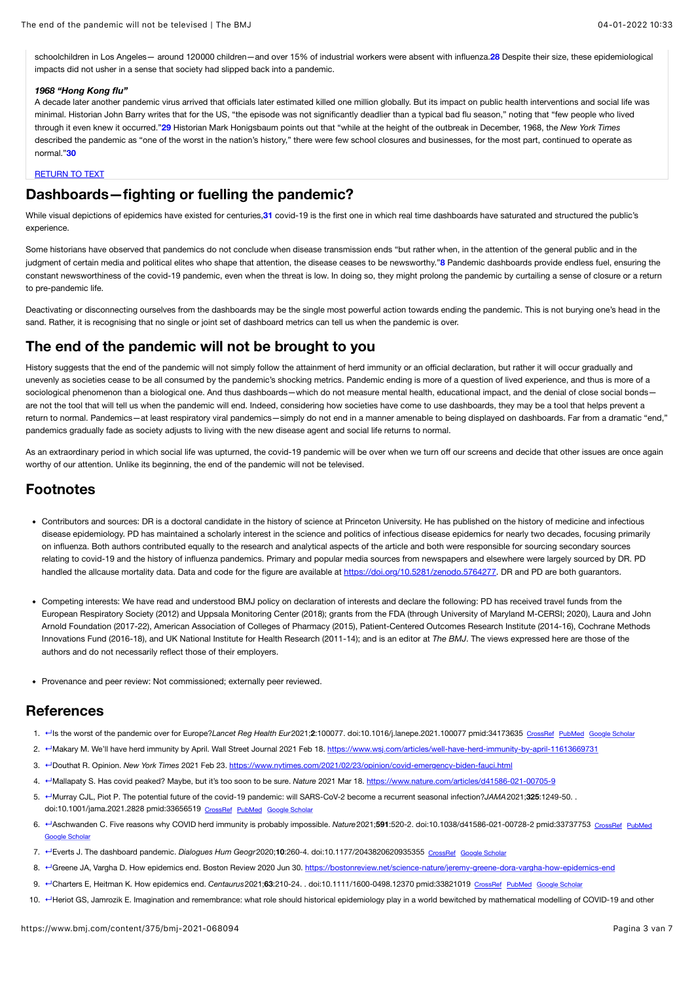schoolchildren in Los Angeles— around 120000 children—and over 15% of industrial workers were absent with influenza.**[28](#page-3-17)** Despite their size, these epidemiological impacts did not usher in a sense that society had slipped back into a pandemic.

### *1968 "Hong Kong flu"*

<span id="page-2-10"></span>A decade later another pandemic virus arrived that officials later estimated killed one million globally. But its impact on public health interventions and social life was minimal. Historian John Barry writes that for the US, "the episode was not significantly deadlier than a typical bad flu season," noting that "few people who lived through it even knew it occurred."**[29](#page-3-18)** Historian Mark Honigsbaum points out that "while at the height of the outbreak in December, 1968, the *New York Times* described the pandemic as "one of the worst in the nation's history," there were few school closures and businesses, for the most part, continued to operate as normal."**[30](#page-3-19)**

### <span id="page-2-12"></span><span id="page-2-11"></span>[RETURN TO TEXT](#page-1-2)

## **Dashboards—fighting or fuelling the pandemic?**

While visual depictions of epidemics have existed for centuries,**[31](#page-3-20)** covid-19 is the first one in which real time dashboards have saturated and structured the public's experience.

Some historians have observed that pandemics do not conclude when disease transmission ends "but rather when, in the attention of the general public and in the judgment of certain media and political elites who shape that attention, the disease ceases to be newsworthy."**[8](#page-2-7)** Pandemic dashboards provide endless fuel, ensuring the constant newsworthiness of the covid-19 pandemic, even when the threat is low. In doing so, they might prolong the pandemic by curtailing a sense of closure or a return to pre-pandemic life.

Deactivating or disconnecting ourselves from the dashboards may be the single most powerful action towards ending the pandemic. This is not burying one's head in the sand. Rather, it is recognising that no single or joint set of dashboard metrics can tell us when the pandemic is over.

## **The end of the pandemic will not be brought to you**

History suggests that the end of the pandemic will not simply follow the attainment of herd immunity or an official declaration, but rather it will occur gradually and unevenly as societies cease to be all consumed by the pandemic's shocking metrics. Pandemic ending is more of a question of lived experience, and thus is more of a sociological phenomenon than a biological one. And thus dashboards—which do not measure mental health, educational impact, and the denial of close social bonds are not the tool that will tell us when the pandemic will end. Indeed, considering how societies have come to use dashboards, they may be a tool that helps prevent a return to normal. Pandemics—at least respiratory viral pandemics—simply do not end in a manner amenable to being displayed on dashboards. Far from a dramatic "end," pandemics gradually fade as society adjusts to living with the new disease agent and social life returns to normal.

As an extraordinary period in which social life was upturned, the covid-19 pandemic will be over when we turn off our screens and decide that other issues are once again worthy of our attention. Unlike its beginning, the end of the pandemic will not be televised.

### **Footnotes**

- Contributors and sources: DR is a doctoral candidate in the history of science at Princeton University. He has published on the history of medicine and infectious disease epidemiology. PD has maintained a scholarly interest in the science and politics of infectious disease epidemics for nearly two decades, focusing primarily on influenza. Both authors contributed equally to the research and analytical aspects of the article and both were responsible for sourcing secondary sources relating to covid-19 and the history of influenza pandemics. Primary and popular media sources from newspapers and elsewhere were largely sourced by DR. PD handled the allcause mortality data. Data and code for the figure are available at <https://doi.org/10.5281/zenodo.5764277>. DR and PD are both guarantors.
- Competing interests: We have read and understood BMJ policy on declaration of interests and declare the following: PD has received travel funds from the European Respiratory Society (2012) and Uppsala Monitoring Center (2018); grants from the FDA (through University of Maryland M-CERSI; 2020), Laura and John Arnold Foundation (2017-22), American Association of Colleges of Pharmacy (2015), Patient-Centered Outcomes Research Institute (2014-16), Cochrane Methods Innovations Fund (2016-18), and UK National Institute for Health Research (2011-14); and is an editor at *The BMJ*. The views expressed here are those of the authors and do not necessarily reflect those of their employers.
- Provenance and peer review: Not commissioned; externally peer reviewed.

### **References**

- <span id="page-2-0"></span>1. [↵](#page-0-0)Is the worst of the pandemic over for Europe?*Lancet Reg Health Eur*2021;**2**:100077. doi:10.1016/j.lanepe.2021.100077 pmid:34173635 [CrossRef](https://www.bmj.com/lookup/external-ref?access_num=10.1016/j.lanepe.2021.100077&link_type=DOI) [PubMed](https://www.bmj.com/lookup/external-ref?access_num=34173635&link_type=MED&atom=/bmj/375/bmj-2021-068094.atom) [Google Scholar](https://www.bmj.com/lookup/google-scholar?link_type=googlescholar&gs_type=article&q_txt=Is+the+worst+of+the+pandemic+over+for+Europe?Lancet+Reg+Health+Eur2021;2:100077.+doi:10.1016/j.lanepe.2021.100077%C2%A0pmid:34173635)
- <span id="page-2-1"></span>2. ← Makary M. We'll have herd immunity by April. Wall Street Journal 2021 Feb 18. <https://www.wsj.com/articles/well-have-herd-immunity-by-april-11613669731>
- <span id="page-2-2"></span>3. [↵](#page-0-2)Douthat R. Opinion. *New York Times* 2021 Feb 23. <https://www.nytimes.com/2021/02/23/opinion/covid-emergency-biden-fauci.html>
- <span id="page-2-3"></span>4. [↵](#page-0-3)Mallapaty S. Has covid peaked? Maybe, but it's too soon to be sure. *Nature* 2021 Mar 18.<https://www.nature.com/articles/d41586-021-00705-9>
- <span id="page-2-4"></span>5. [↵](#page-0-4)Murray CJL, Piot P. The potential future of the covid-19 pandemic: will SARS-CoV-2 become a recurrent seasonal infection?*JAMA*2021;**325**:1249-50. . doi:10.1001/jama.2021.2828 pmid:33656519 [CrossRef](https://www.bmj.com/lookup/external-ref?access_num=10.1001/jama.2021.2828&link_type=DOI) [PubMed](https://www.bmj.com/lookup/external-ref?access_num=33656519&link_type=MED&atom=/bmj/375/bmj-2021-068094.atom) [Google Scholar](https://www.bmj.com/lookup/google-scholar?link_type=googlescholar&gs_type=article&author%5B0%5D=CJL+Murray&author%5B1%5D=P+Piot&title=The+potential+future+of+the+covid-19+pandemic:+will+SARS-CoV-2+become+a+recurrent+seasonal+infection?&publication_year=2021&journal=JAMA&volume=325&pages=1249-50)
- <span id="page-2-5"></span>6. [↵](#page-0-5)Aschwanden C. Five reasons why COVID herd immunity is probably impossible. *Nature*2021;**591**:520-2. doi:10.1038/d41586-021-00728-2 pmid:33737753 [CrossRef](https://www.bmj.com/lookup/external-ref?access_num=10.1038/d41586-021-00728-2&link_type=DOI) [PubMed](https://www.bmj.com/lookup/external-ref?access_num=http://www.n&link_type=MED&atom=/bmj/375/bmj-2021-068094.atom) [Google Scholar](https://www.bmj.com/lookup/google-scholar?link_type=googlescholar&gs_type=article&author%5B0%5D=C+Aschwanden&title=Five+reasons+why+COVID+herd+immunity+is+probably+impossible&publication_year=2021&journal=Nature&volume=591&pages=520-2)
- <span id="page-2-6"></span>7. [↵](#page-0-6)Everts J. The dashboard pandemic. *Dialogues Hum Geogr*2020;**10**:260-4. doi:10.1177/2043820620935355 [CrossRef](https://www.bmj.com/lookup/external-ref?access_num=10.1177/2043820620935355&link_type=DOI) [Google Scholar](https://www.bmj.com/lookup/google-scholar?link_type=googlescholar&gs_type=article&author%5B0%5D=J+Everts&title=The+dashboard+pandemic&publication_year=2020&journal=Dialogues+Hum+Geogr&volume=10&pages=260-4)
- <span id="page-2-7"></span>8. <sup>←</sup>Greene JA, Vargha D. How epidemics end. Boston Review 2020 Jun 30. <https://bostonreview.net/science-nature/jeremy-greene-dora-vargha-how-epidemics-end>
- <span id="page-2-8"></span>9. <sup>←</sup>Charters E, Heitman K. How epidemics end. *Centaurus* 2021;63:210-24. . doi:10.1111/1600-0498.12370 pmid:33821019 [CrossRef](https://www.bmj.com/lookup/external-ref?access_num=10.1111/1600-0498.12370&link_type=DOI) [PubMed](https://www.bmj.com/lookup/external-ref?access_num=33821019&link_type=MED&atom=/bmj/375/bmj-2021-068094.atom) [Google Scholar](https://www.bmj.com/lookup/google-scholar?link_type=googlescholar&gs_type=article&author%5B0%5D=E+Charters&author%5B1%5D=K+Heitman&title=How+epidemics+end&publication_year=2021&journal=Centaurus&volume=63&pages=210-24)
- <span id="page-2-9"></span>10. «Heriot GS, Jamrozik E. Imagination and remembrance: what role should historical epidemiology play in a world bewitched by mathematical modelling of COVID-19 and other